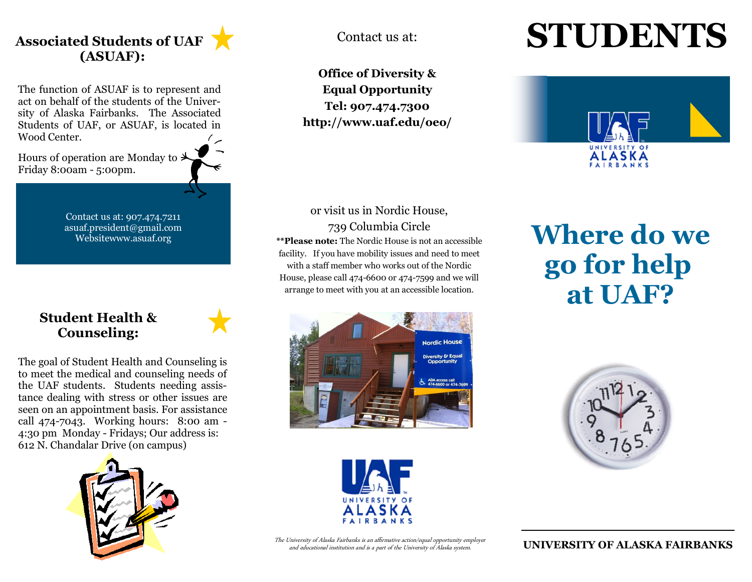

The function of ASUAF is to represent and act on behalf of the students of the University of Alaska Fairbanks. The Associated Students of UAF, or ASUAF, is located in Wood Center.

Hours of operation are Monday to  $\rightarrow$ Friday 8:00am - 5:00pm.

> Contact us at: 907.474.7211 asuaf.president@gmail.com Websitewww.asuaf.org

#### **Student Health & Counseling:**

The goal of Student Health and Counseling is to meet the medical and counseling needs of the UAF students. Students needing assistance dealing with stress or other issues are seen on an appointment basis. For assistance call 474-7043. Working hours: 8:00 am - 4:30 pm Monday - Fridays; Our address is: 612 N. Chandalar Drive (on campus)



**Office of Diversity & Equal Opportunity Tel: 907.474.7300 http://www.uaf.edu/oeo/** 

#### or visit us in Nordic House, 739 Columbia Circle

**\*\*Please note:** The Nordic House is not an accessible facility. If you have mobility issues and need to meet with a staff member who works out of the Nordic House, please call 474-6600 or 474-7599 and we will arrange to meet with you at an accessible location.





The University of Alaska Fairbanks is an affirmative action/equal opportunity employer and educational institution and is a part of the University of Alaska system.

# Contact us at: **STUDENTS**



# **Where do we go for help at UAF?**



**UNIVERSITY OF ALASKA FAIRBANKS**